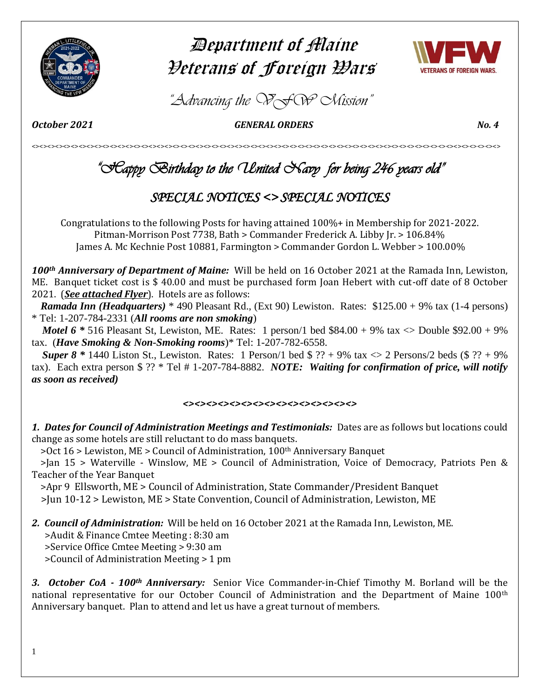

# Department of Maine Veterans of Foreign Wars



*"Advancing the VFW Mission"*

*October 2021 GENERAL ORDERS No. 4* 

<><><><><><><><><><><><><><><><><><><><><><><><><><><><><><><><><><><><><><><><><><><><><><><><><><><><><><><><><><><><>

# *"Happy Birthday to the United Navy for being 246 years old"*

# *SPECIAL NOTICES <> SPECIAL NOTICES*

Congratulations to the following Posts for having attained 100%+ in Membership for 2021-2022. Pitman-Morrison Post 7738, Bath > Commander Frederick A. Libby Jr. > 106.84% James A. Mc Kechnie Post 10881, Farmington > Commander Gordon L. Webber > 100.00%

*100th Anniversary of Department of Maine:* Will be held on 16 October 2021 at the Ramada Inn, Lewiston, ME. Banquet ticket cost is \$ 40.00 and must be purchased form Joan Hebert with cut-off date of 8 October 2021. (*See attached Flyer*). Hotels are as follows:

 *Ramada Inn (Headquarters)* \* 490 Pleasant Rd., (Ext 90) Lewiston. Rates: \$125.00 + 9% tax (1-4 persons) \* Tel: 1-207-784-2331 (*All rooms are non smoking*)

*Motel 6*  $*$  516 Pleasant St, Lewiston, ME. Rates: 1 person/1 bed \$84.00 + 9% tax  $\ll$  Double \$92.00 + 9% tax. (*Have Smoking & Non-Smoking rooms*)\* Tel: 1-207-782-6558.

*Super 8* \* 1440 Liston St., Lewiston. Rates: 1 Person/1 bed  $\frac{6}{5}$  ?? + 9% tax  $\lt$  2 Persons/2 beds ( $\frac{6}{5}$  ?? + 9% tax). Each extra person \$ ?? \* Tel # 1-207-784-8882. *NOTE: Waiting for confirmation of price, will notify as soon as received)* 

# $\leftrightarrow$

*1. Dates for Council of Administration Meetings and Testimonials:* Dates are as follows but locations could change as some hotels are still reluctant to do mass banquets.

>Oct 16 > Lewiston, ME > Council of Administration, 100th Anniversary Banquet

 >Jan 15 > Waterville - Winslow, ME > Council of Administration, Voice of Democracy, Patriots Pen & Teacher of the Year Banquet

>Apr 9 Ellsworth, ME > Council of Administration, State Commander/President Banquet

>Jun 10-12 > Lewiston, ME > State Convention, Council of Administration, Lewiston, ME

*2. Council of Administration:* Will be held on 16 October 2021 at the Ramada Inn, Lewiston, ME.

>Audit & Finance Cmtee Meeting : 8:30 am

>Service Office Cmtee Meeting > 9:30 am

>Council of Administration Meeting > 1 pm

*3. October CoA - 100th Anniversary:* Senior Vice Commander-in-Chief Timothy M. Borland will be the national representative for our October Council of Administration and the Department of Maine 100<sup>th</sup> Anniversary banquet. Plan to attend and let us have a great turnout of members.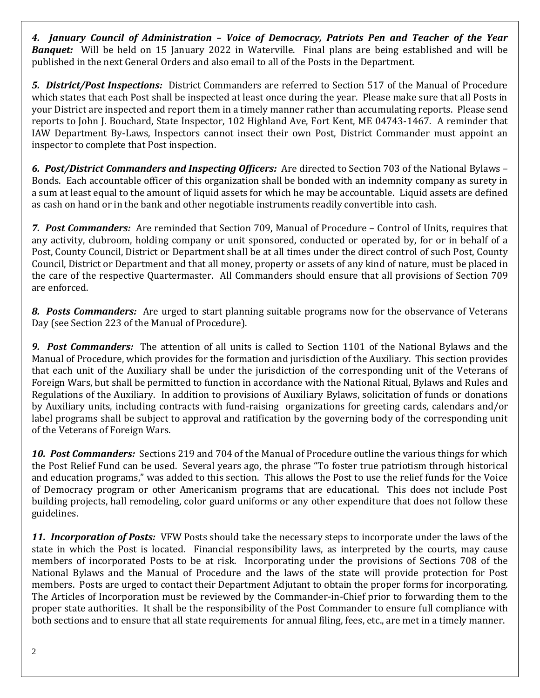*4. January Council of Administration – Voice of Democracy, Patriots Pen and Teacher of the Year*  **Banquet:** Will be held on 15 January 2022 in Waterville. Final plans are being established and will be published in the next General Orders and also email to all of the Posts in the Department.

*5. District/Post Inspections:* District Commanders are referred to Section 517 of the Manual of Procedure which states that each Post shall be inspected at least once during the year. Please make sure that all Posts in your District are inspected and report them in a timely manner rather than accumulating reports. Please send reports to John J. Bouchard, State Inspector, 102 Highland Ave, Fort Kent, ME 04743-1467. A reminder that IAW Department By-Laws, Inspectors cannot insect their own Post, District Commander must appoint an inspector to complete that Post inspection.

*6. Post/District Commanders and Inspecting Officers:* Are directed to Section 703 of the National Bylaws – Bonds. Each accountable officer of this organization shall be bonded with an indemnity company as surety in a sum at least equal to the amount of liquid assets for which he may be accountable. Liquid assets are defined as cash on hand or in the bank and other negotiable instruments readily convertible into cash.

*7. Post Commanders:* Are reminded that Section 709, Manual of Procedure – Control of Units, requires that any activity, clubroom, holding company or unit sponsored, conducted or operated by, for or in behalf of a Post, County Council, District or Department shall be at all times under the direct control of such Post, County Council, District or Department and that all money, property or assets of any kind of nature, must be placed in the care of the respective Quartermaster. All Commanders should ensure that all provisions of Section 709 are enforced.

*8. Posts Commanders:* Are urged to start planning suitable programs now for the observance of Veterans Day (see Section 223 of the Manual of Procedure).

*9. Post Commanders:* The attention of all units is called to Section 1101 of the National Bylaws and the Manual of Procedure, which provides for the formation and jurisdiction of the Auxiliary. This section provides that each unit of the Auxiliary shall be under the jurisdiction of the corresponding unit of the Veterans of Foreign Wars, but shall be permitted to function in accordance with the National Ritual, Bylaws and Rules and Regulations of the Auxiliary. In addition to provisions of Auxiliary Bylaws, solicitation of funds or donations by Auxiliary units, including contracts with fund-raising organizations for greeting cards, calendars and/or label programs shall be subject to approval and ratification by the governing body of the corresponding unit of the Veterans of Foreign Wars.

*10. Post Commanders:* Sections 219 and 704 of the Manual of Procedure outline the various things for which the Post Relief Fund can be used. Several years ago, the phrase "To foster true patriotism through historical and education programs," was added to this section. This allows the Post to use the relief funds for the Voice of Democracy program or other Americanism programs that are educational. This does not include Post building projects, hall remodeling, color guard uniforms or any other expenditure that does not follow these guidelines.

*11. Incorporation of Posts:* VFW Posts should take the necessary steps to incorporate under the laws of the state in which the Post is located. Financial responsibility laws, as interpreted by the courts, may cause members of incorporated Posts to be at risk. Incorporating under the provisions of Sections 708 of the National Bylaws and the Manual of Procedure and the laws of the state will provide protection for Post members. Posts are urged to contact their Department Adjutant to obtain the proper forms for incorporating. The Articles of Incorporation must be reviewed by the Commander-in-Chief prior to forwarding them to the proper state authorities. It shall be the responsibility of the Post Commander to ensure full compliance with both sections and to ensure that all state requirements for annual filing, fees, etc., are met in a timely manner.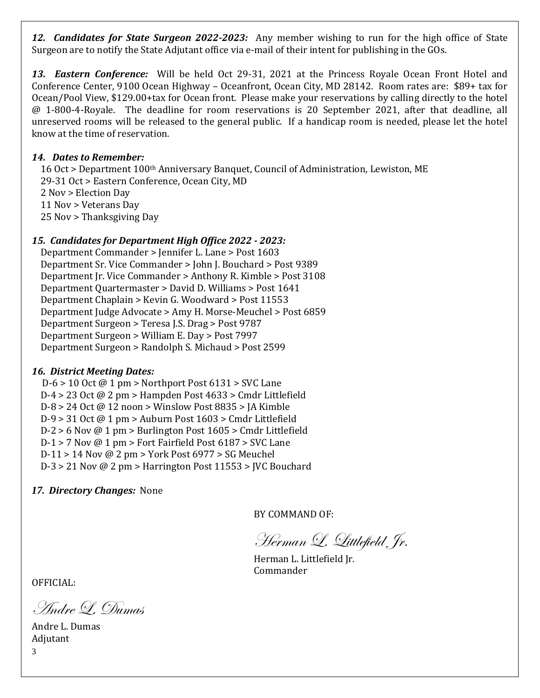*12. Candidates for State Surgeon 2022-2023:* Any member wishing to run for the high office of State Surgeon are to notify the State Adjutant office via e-mail of their intent for publishing in the GOs.

*13. Eastern Conference:* Will be held Oct 29-31, 2021 at the Princess Royale Ocean Front Hotel and Conference Center, 9100 Ocean Highway – Oceanfront, Ocean City, MD 28142. Room rates are: \$89+ tax for Ocean/Pool View, \$129.00+tax for Ocean front. Please make your reservations by calling directly to the hotel @ 1-800-4-Royale. The deadline for room reservations is 20 September 2021, after that deadline, all unreserved rooms will be released to the general public. If a handicap room is needed, please let the hotel know at the time of reservation.

# *14. Dates to Remember:*

16 Oct > Department 100<sup>th</sup> Anniversary Banquet, Council of Administration, Lewiston, ME 29-31 Oct > Eastern Conference, Ocean City, MD 2 Nov > Election Day 11 Nov > Veterans Day 25 Nov > Thanksgiving Day

# *15. Candidates for Department High Office 2022 - 2023:*

 Department Commander > Jennifer L. Lane > Post 1603 Department Sr. Vice Commander > John J. Bouchard > Post 9389 Department Jr. Vice Commander > Anthony R. Kimble > Post 3108 Department Quartermaster > David D. Williams > Post 1641 Department Chaplain > Kevin G. Woodward > Post 11553 Department Judge Advocate > Amy H. Morse-Meuchel > Post 6859 Department Surgeon > Teresa J.S. Drag > Post 9787 Department Surgeon > William E. Day > Post 7997 Department Surgeon > Randolph S. Michaud > Post 2599

# *16. District Meeting Dates:*

 D-6 > 10 Oct @ 1 pm > Northport Post 6131 > SVC Lane D-4 > 23 Oct @ 2 pm > Hampden Post 4633 > Cmdr Littlefield D-8 > 24 Oct @ 12 noon > Winslow Post 8835 > JA Kimble D-9 > 31 Oct @ 1 pm > Auburn Post 1603 > Cmdr Littlefield D-2 > 6 Nov @ 1 pm > Burlington Post 1605 > Cmdr Littlefield D-1 > 7 Nov @ 1 pm > Fort Fairfield Post 6187 > SVC Lane D-11 > 14 Nov @ 2 pm > York Post 6977 > SG Meuchel D-3 > 21 Nov @ 2 pm > Harrington Post 11553 > JVC Bouchard

*17. Directory Changes:* None

BY COMMAND OF:

Herman L. Littlefield, Jr.

Herman L. Littlefield Jr. Commander

OFFICIAL:

Andre L. Dumas

3 Andre L. Dumas Adjutant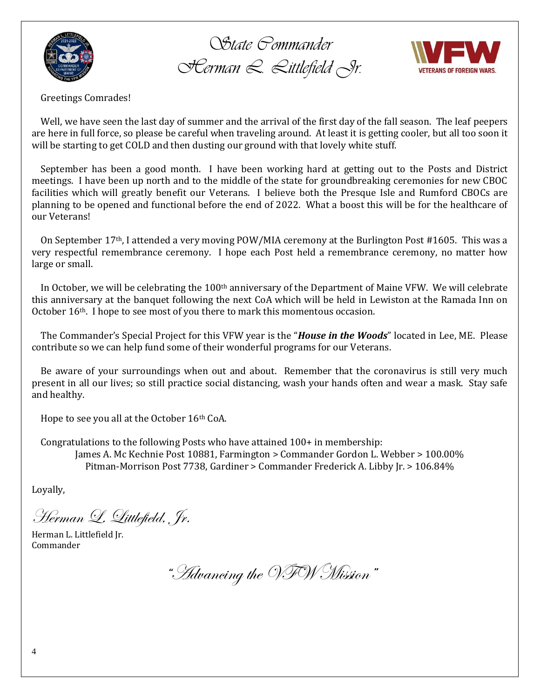

*State Commander Herman L. Littlefield Jr.*



Greetings Comrades!

 Well, we have seen the last day of summer and the arrival of the first day of the fall season. The leaf peepers are here in full force, so please be careful when traveling around. At least it is getting cooler, but all too soon it will be starting to get COLD and then dusting our ground with that lovely white stuff.

 September has been a good month. I have been working hard at getting out to the Posts and District meetings. I have been up north and to the middle of the state for groundbreaking ceremonies for new CBOC facilities which will greatly benefit our Veterans. I believe both the Presque Isle and Rumford CBOCs are planning to be opened and functional before the end of 2022. What a boost this will be for the healthcare of our Veterans!

On September  $17<sup>th</sup>$ , I attended a very moving POW/MIA ceremony at the Burlington Post #1605. This was a very respectful remembrance ceremony. I hope each Post held a remembrance ceremony, no matter how large or small.

In October, we will be celebrating the  $100<sup>th</sup>$  anniversary of the Department of Maine VFW. We will celebrate this anniversary at the banquet following the next CoA which will be held in Lewiston at the Ramada Inn on October 16<sup>th</sup>. I hope to see most of you there to mark this momentous occasion.

 The Commander's Special Project for this VFW year is the "*House in the Woods*" located in Lee, ME. Please contribute so we can help fund some of their wonderful programs for our Veterans.

 Be aware of your surroundings when out and about. Remember that the coronavirus is still very much present in all our lives; so still practice social distancing, wash your hands often and wear a mask. Stay safe and healthy.

Hope to see you all at the October 16<sup>th</sup> CoA.

Congratulations to the following Posts who have attained 100+ in membership:

James A. Mc Kechnie Post 10881, Farmington > Commander Gordon L. Webber > 100.00% Pitman-Morrison Post 7738, Gardiner > Commander Frederick A. Libby Jr. > 106.84%

Loyally,

Herman L. Littlefield, Jr.

Herman L. Littlefield Jr. Commander

"Advancing the VFW Mission"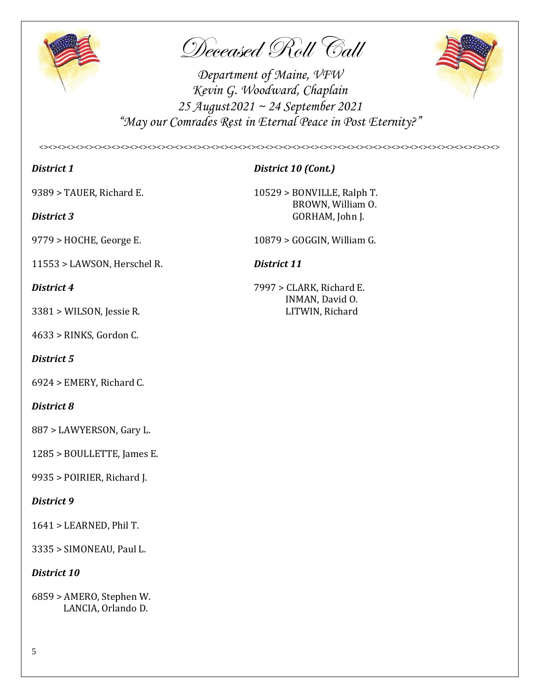

Deceased Roll Call

*Department of Maine, VFW Kevin G. Woodward, Chaplain 25 August2021 ~ 24 September 2021 "May our Comrades Rest in Eternal Peace in Post Eternity?"*

*<><><><><><><><><><><><><><><><><><><><><><><><><><><><><><><><><><><><><><><><><><><><><><><><><><><>*



*District 1 District 10 (Cont.)*

11553 > LAWSON, Herschel R. *District 11*

3381 > WILSON, Jessie R. LITWIN, Richard

4633 > RINKS, Gordon C.

# *District 5*

6924 > EMERY, Richard C.

# *District 8*

887 > LAWYERSON, Gary L.

1285 > BOULLETTE, James E.

9935 > POIRIER, Richard J.

# *District 9*

1641 > LEARNED, Phil T.

3335 > SIMONEAU, Paul L.

# *District 10*

6859 > AMERO, Stephen W. LANCIA, Orlando D.

9389 > TAUER, Richard E. 10529 > BONVILLE, Ralph T. BROWN, William O. **District 3** GORHAM, John J.

9779 > HOCHE, George E. 10879 > GOGGIN, William G.

*District 4* 7997 > CLARK, Richard E. INMAN, David O.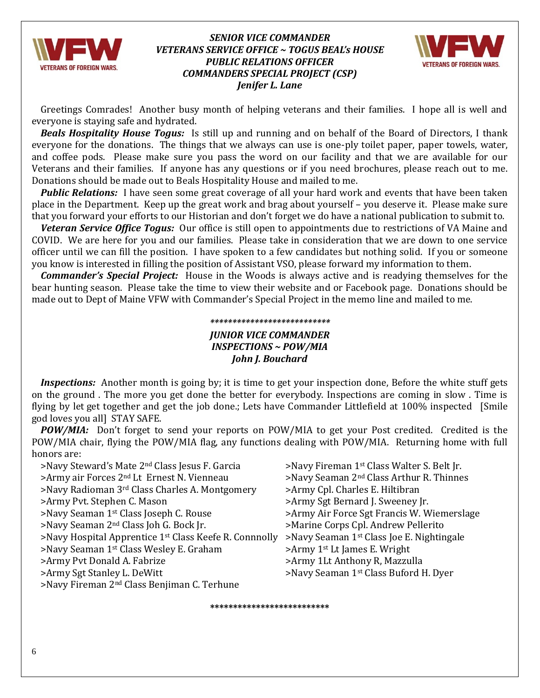

# *SENIOR VICE COMMANDER VETERANS SERVICE OFFICE ~ TOGUS BEAL's HOUSE PUBLIC RELATIONS OFFICER COMMANDERS SPECIAL PROJECT (CSP) Jenifer L. Lane*



 Greetings Comrades! Another busy month of helping veterans and their families. I hope all is well and everyone is staying safe and hydrated.

*Beals Hospitality House Togus:*Is still up and running and on behalf of the Board of Directors, I thank everyone for the donations. The things that we always can use is one-ply toilet paper, paper towels, water, and coffee pods. Please make sure you pass the word on our facility and that we are available for our Veterans and their families. If anyone has any questions or if you need brochures, please reach out to me. Donations should be made out to Beals Hospitality House and mailed to me.

*Public Relations:*I have seen some great coverage of all your hard work and events that have been taken place in the Department. Keep up the great work and brag about yourself – you deserve it. Please make sure that you forward your efforts to our Historian and don't forget we do have a national publication to submit to.

*Veteran Service Office Togus:* Our office is still open to appointments due to restrictions of VA Maine and COVID. We are here for you and our families. Please take in consideration that we are down to one service officer until we can fill the position. I have spoken to a few candidates but nothing solid. If you or someone you know is interested in filling the position of Assistant VSO, please forward my information to them.

*Commander's Special Project:*House in the Woods is always active and is readying themselves for the bear hunting season. Please take the time to view their website and or Facebook page. Donations should be made out to Dept of Maine VFW with Commander's Special Project in the memo line and mailed to me.

# *\*\*\*\*\*\*\*\*\*\*\*\*\*\*\*\*\*\*\*\*\*\*\*\*\*\*\* JUNIOR VICE COMMANDER INSPECTIONS ~ POW/MIA John J. Bouchard*

*Inspections:* Another month is going by; it is time to get your inspection done, Before the white stuff gets on the ground . The more you get done the better for everybody. Inspections are coming in slow . Time is flying by let get together and get the job done.; Lets have Commander Littlefield at 100% inspected [Smile god loves you all] STAY SAFE.

**POW/MIA:** Don't forget to send your reports on POW/MIA to get your Post credited. Credited is the POW/MIA chair, flying the POW/MIA flag, any functions dealing with POW/MIA. Returning home with full honors are:

 $>$ Navy Steward's Mate 2<sup>nd</sup> Class Jesus F. Garcia  $>$ Navy Fireman 1<sup>st</sup> Class Walter S. Belt Jr.  $\geq$ Army air Forces 2<sup>nd</sup> Lt Ernest N. Vienneau  $\geq$ Navy Seaman 2<sup>nd</sup> Class Arthur R. Thinnes >Navy Radioman 3rd Class Charles A. Montgomery >Army Cpl. Charles E. Hiltibran >Army Pvt. Stephen C. Mason >>Army Sgt Bernard J. Sweeney Jr. >Navy Seaman 1st Class Joseph C. Rouse >Army Air Force Sgt Francis W. Wiemerslage >Navy Seaman 2<sup>nd</sup> Class Joh G. Bock Jr. > >Marine Corps Cpl. Andrew Pellerito >Navy Hospital Apprentice 1st Class Keefe R. Connnolly >Navy Seaman 1st Class Joe E. Nightingale  $>$ Navy Seaman 1<sup>st</sup> Class Wesley E. Graham  $>$ Army 1<sup>st</sup> Lt James E. Wright >Army Pvt Donald A. Fabrize >Army 1Lt Anthony R, Mazzulla >Army Sgt Stanley L. DeWitt >Navy Seaman 1<sup>st</sup> Class Buford H. Dyer >Navy Fireman 2nd Class Benjiman C. Terhune

**\*\*\*\*\*\*\*\*\*\*\*\*\*\*\*\*\*\*\*\*\*\*\*\*\*\***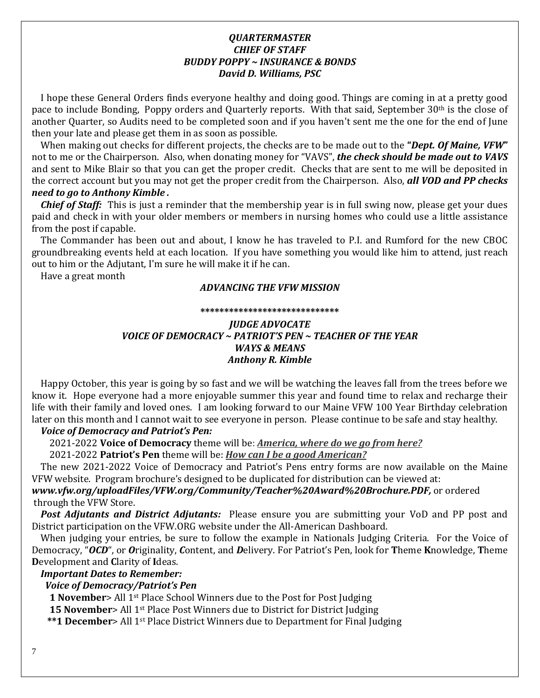# *QUARTERMASTER CHIEF OF STAFF BUDDY POPPY ~ INSURANCE & BONDS David D. Williams, PSC*

 I hope these General Orders finds everyone healthy and doing good. Things are coming in at a pretty good pace to include Bonding, Poppy orders and Quarterly reports. With that said, September 30th is the close of another Quarter, so Audits need to be completed soon and if you haven't sent me the one for the end of June then your late and please get them in as soon as possible.

 When making out checks for different projects, the checks are to be made out to the **"***Dept. Of Maine, VFW***"** not to me or the Chairperson. Also, when donating money for "VAVS", *the check should be made out to VAVS*  and sent to Mike Blair so that you can get the proper credit. Checks that are sent to me will be deposited in the correct account but you may not get the proper credit from the Chairperson. Also, *all VOD and PP checks need to go to Anthony Kimble .*

*Chief of Staff:* This is just a reminder that the membership year is in full swing now, please get your dues paid and check in with your older members or members in nursing homes who could use a little assistance from the post if capable.

 The Commander has been out and about, I know he has traveled to P.I. and Rumford for the new CBOC groundbreaking events held at each location. If you have something you would like him to attend, just reach out to him or the Adjutant, I'm sure he will make it if he can.

Have a great month

# *ADVANCING THE VFW MISSION*

#### **\*\*\*\*\*\*\*\*\*\*\*\*\*\*\*\*\*\*\*\*\*\*\*\*\*\*\*\*\***

# *JUDGE ADVOCATE VOICE OF DEMOCRACY ~ PATRIOT'S PEN ~ TEACHER OF THE YEAR WAYS & MEANS Anthony R. Kimble*

 Happy October, this year is going by so fast and we will be watching the leaves fall from the trees before we know it. Hope everyone had a more enjoyable summer this year and found time to relax and recharge their life with their family and loved ones. I am looking forward to our Maine VFW 100 Year Birthday celebration later on this month and I cannot wait to see everyone in person. Please continue to be safe and stay healthy.

# *Voice of Democracy and Patriot's Pen:*

2021-2022 **Voice of Democracy** theme will be: *America, where do we go from here?* 

2021-2022 **Patriot's Pen** theme will be: *How can I be a good American?*

 The new 2021-2022 Voice of Democracy and Patriot's Pens entry forms are now available on the Maine VFW website. Program brochure's designed to be duplicated for distribution can be viewed at:

*[www.vfw.org/uploadFiles/VFW.org/Community/Teacher%20Award%20Brochure.PDF,](http://www.vfw.org/uploadFiles/VFW.org/Community/Teacher%20Award%20Brochure.PDF)* or ordered through the VFW Store.

 *Post Adjutants and District Adjutants:* Please ensure you are submitting your VoD and PP post and District participation on the VFW.ORG website under the All-American Dashboard.

 When judging your entries, be sure to follow the example in Nationals Judging Criteria. For the Voice of Democracy, "*OCD*", or *O*riginality, *C*ontent, and *D*elivery. For Patriot's Pen, look for **T**heme **K**nowledge, **T**heme **D**evelopment and **C**larity of **I**deas.

# *Important Dates to Remember:*

# *Voice of Democracy/Patriot's Pen*

 **1 November**> All 1st Place School Winners due to the Post for Post Judging

**15 November**> All 1<sup>st</sup> Place Post Winners due to District for District Judging

**\*\*1 December**> All 1<sup>st</sup> Place District Winners due to Department for Final Judging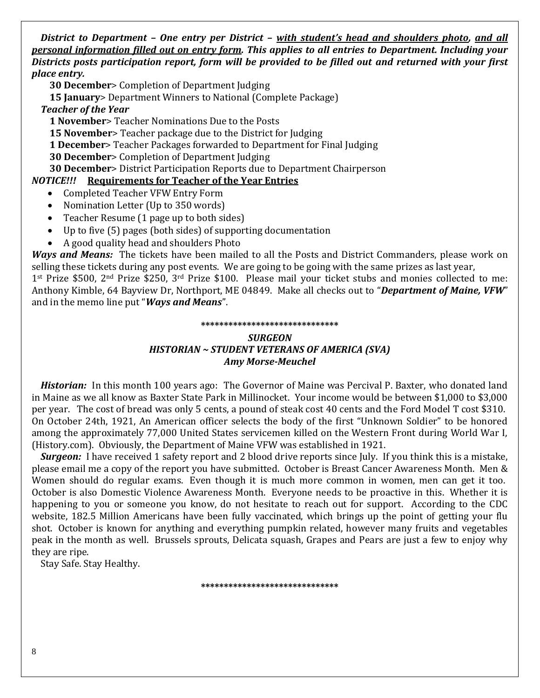*District to Department – One entry per District – with student's head and shoulders photo, and all personal information filled out on entry form. This applies to all entries to Department. Including your Districts posts participation report, form will be provided to be filled out and returned with your first place entry.*

 **30 December**> Completion of Department Judging

 **15 January**> Department Winners to National (Complete Package)

 *Teacher of the Year*

 **1 November**> Teacher Nominations Due to the Posts

 **15 November**> Teacher package due to the District for Judging

 **1 December**> Teacher Packages forwarded to Department for Final Judging

 **30 December**> Completion of Department Judging

 **30 December**> District Participation Reports due to Department Chairperson

# *NOTICE!!!* **Requirements for Teacher of the Year Entries**

- Completed Teacher VFW Entry Form
- Nomination Letter (Up to 350 words)
- Teacher Resume (1 page up to both sides)
- Up to five (5) pages (both sides) of supporting documentation
- A good quality head and shoulders Photo

*Ways and Means:* The tickets have been mailed to all the Posts and District Commanders, please work on selling these tickets during any post events. We are going to be going with the same prizes as last year,

1<sup>st</sup> Prize \$500, 2<sup>nd</sup> Prize \$250, 3<sup>rd</sup> Prize \$100. Please mail your ticket stubs and monies collected to me: Anthony Kimble, 64 Bayview Dr, Northport, ME 04849. Make all checks out to "*Department of Maine, VFW*" and in the memo line put "*Ways and Means*".

### **\*\*\*\*\*\*\*\*\*\*\*\*\*\*\*\*\*\*\*\*\*\*\*\*\*\*\*\*\*\***

# *SURGEON HISTORIAN ~ STUDENT VETERANS OF AMERICA (SVA) Amy Morse-Meuchel*

 *Historian:* In this month 100 years ago: The Governor of Maine was Percival P. Baxter, who donated land in Maine as we all know as Baxter State Park in Millinocket. Your income would be between \$1,000 to \$3,000 per year. The cost of bread was only 5 cents, a pound of steak cost 40 cents and the Ford Model T cost \$310. On October 24th, 1921, An American officer selects the body of the first "Unknown Soldier" to be honored among the approximately 77,000 United States servicemen killed on the Western Front during World War I, (History.com). Obviously, the Department of Maine VFW was established in 1921.

 *Surgeon:* I have received 1 safety report and 2 blood drive reports since July. If you think this is a mistake, please email me a copy of the report you have submitted. October is Breast Cancer Awareness Month. Men & Women should do regular exams. Even though it is much more common in women, men can get it too. October is also Domestic Violence Awareness Month. Everyone needs to be proactive in this. Whether it is happening to you or someone you know, do not hesitate to reach out for support. According to the CDC website, 182.5 Million Americans have been fully vaccinated, which brings up the point of getting your flu shot. October is known for anything and everything pumpkin related, however many fruits and vegetables peak in the month as well. Brussels sprouts, Delicata squash, Grapes and Pears are just a few to enjoy why they are ripe.

Stay Safe. Stay Healthy.

**\*\*\*\*\*\*\*\*\*\*\*\*\*\*\*\*\*\*\*\*\*\*\*\*\*\*\*\*\*\***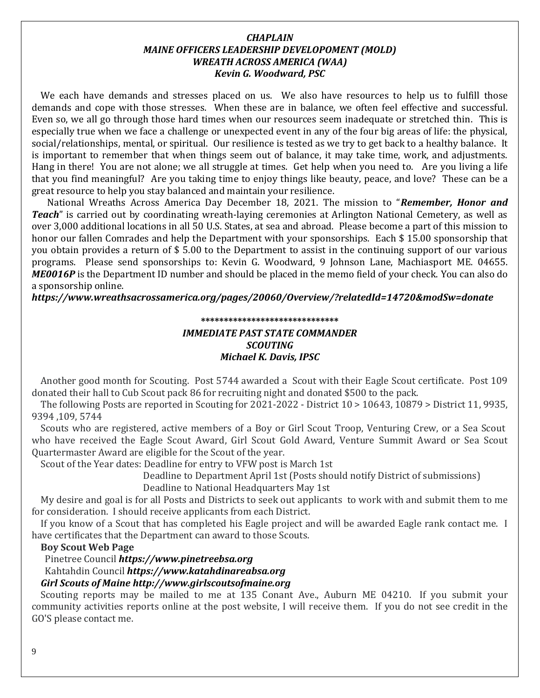# *CHAPLAIN MAINE OFFICERS LEADERSHIP DEVELOPOMENT (MOLD) WREATH ACROSS AMERICA (WAA) Kevin G. Woodward, PSC*

 We each have demands and stresses placed on us. We also have resources to help us to fulfill those demands and cope with those stresses. When these are in balance, we often feel effective and successful. Even so, we all go through those hard times when our resources seem inadequate or stretched thin. This is especially true when we face a challenge or unexpected event in any of the four big areas of life: the physical, social/relationships, mental, or spiritual. Our resilience is tested as we try to get back to a healthy balance. It is important to remember that when things seem out of balance, it may take time, work, and adjustments. Hang in there! You are not alone; we all struggle at times. Get help when you need to. Are you living a life that you find meaningful? Are you taking time to enjoy things like beauty, peace, and love? These can be a great resource to help you stay balanced and maintain your resilience.

 National Wreaths Across America Day December 18, 2021. The mission to "*Remember, Honor and Teach*" is carried out by coordinating wreath-laying ceremonies at Arlington National Cemetery, as well as over 3,000 additional locations in all 50 U.S. States, at sea and abroad. Please become a part of this mission to honor our fallen Comrades and help the Department with your sponsorships. Each \$ 15.00 sponsorship that you obtain provides a return of \$ 5.00 to the Department to assist in the continuing support of our various programs. Please send sponsorships to: Kevin G. Woodward, 9 Johnson Lane, Machiasport ME. 04655. *ME0016P* is the Department ID number and should be placed in the memo field of your check. You can also do a sponsorship online.

*https://www.wreathsacrossamerica.org/pages/20060/Overview/?relatedId=14720&modSw=donate* 

#### **\*\*\*\*\*\*\*\*\*\*\*\*\*\*\*\*\*\*\*\*\*\*\*\*\*\*\*\*\*\***

# *IMMEDIATE PAST STATE COMMANDER SCOUTING Michael K. Davis, IPSC*

 Another good month for Scouting. Post 5744 awarded a Scout with their Eagle Scout certificate. Post 109 donated their hall to Cub Scout pack 86 for recruiting night and donated \$500 to the pack.

 The following Posts are reported in Scouting for 2021-2022 - District 10 > 10643, 10879 > District 11, 9935, 9394 ,109, 5744

 Scouts who are registered, active members of a Boy or Girl Scout Troop, Venturing Crew, or a Sea Scout who have received the Eagle Scout Award, Girl Scout Gold Award, Venture Summit Award or Sea Scout Quartermaster Award are eligible for the Scout of the year.

Scout of the Year dates: Deadline for entry to VFW post is March 1st

Deadline to Department April 1st (Posts should notify District of submissions)

Deadline to National Headquarters May 1st

 My desire and goal is for all Posts and Districts to seek out applicants to work with and submit them to me for consideration. I should receive applicants from each District.

 If you know of a Scout that has completed his Eagle project and will be awarded Eagle rank contact me. I have certificates that the Department can award to those Scouts.

# **Boy Scout Web Page**

Pinetree Council *[https://www.pinetreebsa.org](https://www.pinetreebsa.org/)* Kahtahdin Council *[https://www.katahdinareabsa.org](https://www.katahdinareabsa.org/) Girl Scouts of Main[e http://www.girlscoutsofmaine.org](http://www.girlscoutsofmaine.org/)*

Scouting reports may be mailed to me at 135 Conant Ave., Auburn ME 04210. If you submit your community activities reports online at the post website, I will receive them. If you do not see credit in the GO'S please contact me.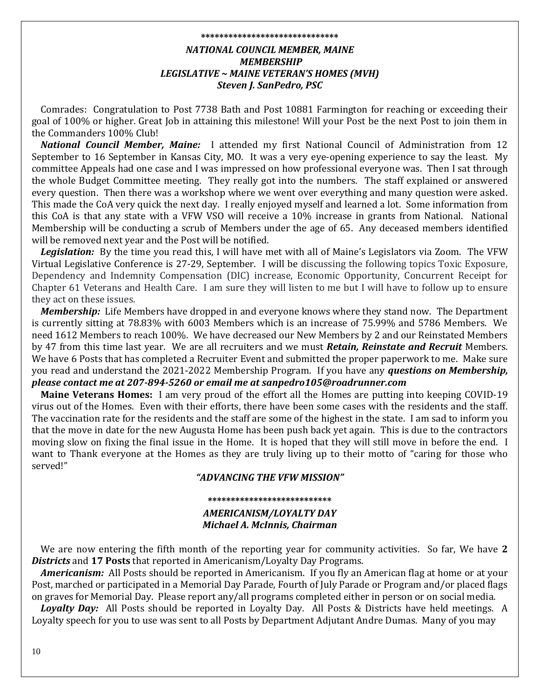# **\*\*\*\*\*\*\*\*\*\*\*\*\*\*\*\*\*\*\*\*\*\*\*\*\*\*\*\*\*\*** *NATIONAL COUNCIL MEMBER, MAINE MEMBERSHIP LEGISLATIVE ~ MAINE VETERAN'S HOMES (MVH) Steven J. SanPedro, PSC*

 Comrades: Congratulation to Post 7738 Bath and Post 10881 Farmington for reaching or exceeding their goal of 100% or higher. Great Job in attaining this milestone! Will your Post be the next Post to join them in the Commanders 100% Club!

*National Council Member, Maine:*I attended my first National Council of Administration from 12 September to 16 September in Kansas City, MO. It was a very eye-opening experience to say the least. My committee Appeals had one case and I was impressed on how professional everyone was. Then I sat through the whole Budget Committee meeting. They really got into the numbers. The staff explained or answered every question. Then there was a workshop where we went over everything and many question were asked. This made the CoA very quick the next day. I really enjoyed myself and learned a lot. Some information from this CoA is that any state with a VFW VSO will receive a 10% increase in grants from National. National Membership will be conducting a scrub of Members under the age of 65. Any deceased members identified will be removed next year and the Post will be notified.

Legislation: By the time you read this, I will have met with all of Maine's Legislators via Zoom. The VFW Virtual Legislative Conference is 27-29, September. I will be discussing the following topics Toxic Exposure, Dependency and Indemnity Compensation (DIC) increase, Economic Opportunity, Concurrent Receipt for Chapter 61 Veterans and Health Care. I am sure they will listen to me but I will have to follow up to ensure they act on these issues.

 *Membership:* Life Members have dropped in and everyone knows where they stand now. The Department is currently sitting at 78.83% with 6003 Members which is an increase of 75.99% and 5786 Members. We need 1612 Members to reach 100%. We have decreased our New Members by 2 and our Reinstated Members by 47 from this time last year. We are all recruiters and we must *Retain, Reinstate and Recruit* Members. We have 6 Posts that has completed a Recruiter Event and submitted the proper paperwork to me. Make sure you read and understand the 2021-2022 Membership Program. If you have any *questions on Membership, please contact me at 207-894-5260 or email me at sanpedro105@roadrunner.com*

 **Maine Veterans Homes:** I am very proud of the effort all the Homes are putting into keeping COVID-19 virus out of the Homes. Even with their efforts, there have been some cases with the residents and the staff. The vaccination rate for the residents and the staff are some of the highest in the state. I am sad to inform you that the move in date for the new Augusta Home has been push back yet again. This is due to the contractors moving slow on fixing the final issue in the Home. It is hoped that they will still move in before the end. I want to Thank everyone at the Homes as they are truly living up to their motto of "caring for those who served!"

### *"ADVANCING THE VFW MISSION"*

# **\*\*\*\*\*\*\*\*\*\*\*\*\*\*\*\*\*\*\*\*\*\*\*\*\*\*\*** *AMERICANISM/LOYALTY DAY Michael A. McInnis, Chairman*

 We are now entering the fifth month of the reporting year for community activities. So far, We have **2**  *Districts* and **17 Posts** that reported in Americanism/Loyalty Day Programs.

 *Americanism:* All Posts should be reported in Americanism. If you fly an American flag at home or at your Post, marched or participated in a Memorial Day Parade, Fourth of July Parade or Program and/or placed flags on graves for Memorial Day. Please report any/all programs completed either in person or on social media.

 *Loyalty Day:* All Posts should be reported in Loyalty Day. All Posts & Districts have held meetings. A Loyalty speech for you to use was sent to all Posts by Department Adjutant Andre Dumas. Many of you may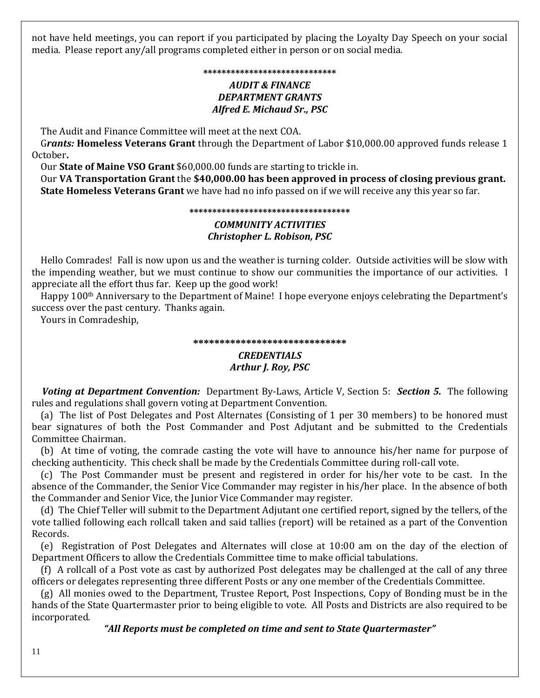not have held meetings, you can report if you participated by placing the Loyalty Day Speech on your social media. Please report any/all programs completed either in person or on social media.

# **\*\*\*\*\*\*\*\*\*\*\*\*\*\*\*\*\*\*\*\*\*\*\*\*\*\*\*\*\*** *AUDIT & FINANCE DEPARTMENT GRANTS Alfred E. Michaud Sr., PSC*

The Audit and Finance Committee will meet at the next COA.

 G*rants:* **Homeless Veterans Grant** through the Department of Labor \$10,000.00 approved funds release 1 October**.** 

Our **State of Maine VSO Grant** \$60,000.00 funds are starting to trickle in.

 Our **VA Transportation Grant** the **\$40,000.00 has been approved in process of closing previous grant. State Homeless Veterans Grant** we have had no info passed on if we will receive any this year so far.

#### **\*\*\*\*\*\*\*\*\*\*\*\*\*\*\*\*\*\*\*\*\*\*\*\*\*\*\*\*\*\*\*\*\*\*\***

# *COMMUNITY ACTIVITIES Christopher L. Robison, PSC*

 Hello Comrades! Fall is now upon us and the weather is turning colder. Outside activities will be slow with the impending weather, but we must continue to show our communities the importance of our activities. I appreciate all the effort thus far. Keep up the good work!

 Happy 100th Anniversary to the Department of Maine! I hope everyone enjoys celebrating the Department's success over the past century. Thanks again.

Yours in Comradeship,

### **\*\*\*\*\*\*\*\*\*\*\*\*\*\*\*\*\*\*\*\*\*\*\*\*\*\*\*\*\***

# *CREDENTIALS Arthur J. Roy, PSC*

 *Voting at Department Convention:* Department By-Laws, Article V, Section 5: *Section 5.*The following rules and regulations shall govern voting at Department Convention.

 (a) The list of Post Delegates and Post Alternates (Consisting of 1 per 30 members) to be honored must bear signatures of both the Post Commander and Post Adjutant and be submitted to the Credentials Committee Chairman.

 (b) At time of voting, the comrade casting the vote will have to announce his/her name for purpose of checking authenticity. This check shall be made by the Credentials Committee during roll-call vote.

 (c) The Post Commander must be present and registered in order for his/her vote to be cast. In the absence of the Commander, the Senior Vice Commander may register in his/her place. In the absence of both the Commander and Senior Vice, the Junior Vice Commander may register.

 (d) The Chief Teller will submit to the Department Adjutant one certified report, signed by the tellers, of the vote tallied following each rollcall taken and said tallies (report) will be retained as a part of the Convention Records.

 (e) Registration of Post Delegates and Alternates will close at 10:00 am on the day of the election of Department Officers to allow the Credentials Committee time to make official tabulations.

 (f) A rollcall of a Post vote as cast by authorized Post delegates may be challenged at the call of any three officers or delegates representing three different Posts or any one member of the Credentials Committee.

 (g) All monies owed to the Department, Trustee Report, Post Inspections, Copy of Bonding must be in the hands of the State Quartermaster prior to being eligible to vote. All Posts and Districts are also required to be incorporated.

*"All Reports must be completed on time and sent to State Quartermaster"*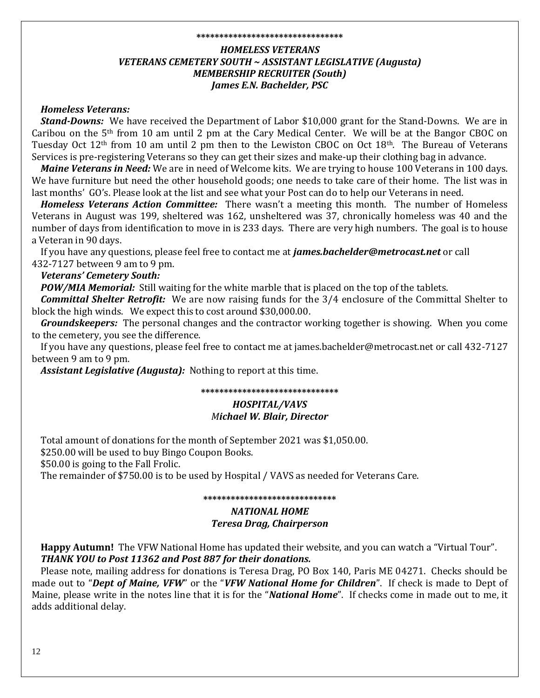#### **\*\*\*\*\*\*\*\*\*\*\*\*\*\*\*\*\*\*\*\*\*\*\*\*\*\*\*\*\*\*\*\***

# *HOMELESS VETERANS VETERANS CEMETERY SOUTH ~ ASSISTANT LEGISLATIVE (Augusta) MEMBERSHIP RECRUITER (South) James E.N. Bachelder, PSC*

# *Homeless Veterans:*

*Stand-Downs:* We have received the Department of Labor \$10,000 grant for the Stand-Downs. We are in Caribou on the  $5<sup>th</sup>$  from 10 am until 2 pm at the Cary Medical Center. We will be at the Bangor CBOC on Tuesday Oct  $12<sup>th</sup>$  from 10 am until 2 pm then to the Lewiston CBOC on Oct  $18<sup>th</sup>$ . The Bureau of Veterans Services is pre-registering Veterans so they can get their sizes and make-up their clothing bag in advance.

*Maine Veterans in Need:* We are in need of Welcome kits. We are trying to house 100 Veterans in 100 days. We have furniture but need the other household goods; one needs to take care of their home. The list was in last months' GO's. Please look at the list and see what your Post can do to help our Veterans in need.

*Homeless Veterans Action Committee:* There wasn't a meeting this month. The number of Homeless Veterans in August was 199, sheltered was 162, unsheltered was 37, chronically homeless was 40 and the number of days from identification to move in is 233 days. There are very high numbers. The goal is to house a Veteran in 90 days.

 If you have any questions, please feel free to contact me at *james.bachelder@metrocast.net* or call 432-7127 between 9 am to 9 pm.

# *Veterans' Cemetery South:*

*POW/MIA Memorial:* Still waiting for the white marble that is placed on the top of the tablets.

*Committal Shelter Retrofit:* We are now raising funds for the 3/4 enclosure of the Committal Shelter to block the high winds. We expect this to cost around \$30,000.00.

*Groundskeepers:* The personal changes and the contractor working together is showing. When you come to the cemetery, you see the difference.

 If you have any questions, please feel free to contact me at james.bachelder@metrocast.net or call 432-7127 between 9 am to 9 pm.

*Assistant Legislative (Augusta):*Nothing to report at this time.

#### **\*\*\*\*\*\*\*\*\*\*\*\*\*\*\*\*\*\*\*\*\*\*\*\*\*\*\*\*\*\***

## *HOSPITAL/VAVS Michael W. Blair, Director*

Total amount of donations for the month of September 2021 was \$1,050.00.

\$250.00 will be used to buy Bingo Coupon Books.

\$50.00 is going to the Fall Frolic.

The remainder of \$750.00 is to be used by Hospital / VAVS as needed for Veterans Care.

**\*\*\*\*\*\*\*\*\*\*\*\*\*\*\*\*\*\*\*\*\*\*\*\*\*\*\*\*\***

# *NATIONAL HOME*

### *Teresa Drag, Chairperson*

 **Happy Autumn!** The VFW National Home has updated their website, and you can watch a "Virtual Tour".  *THANK YOU to Post 11362 and Post 887 for their donations.*

 Please note, mailing address for donations is Teresa Drag, PO Box 140, Paris ME 04271. Checks should be made out to "*Dept of Maine, VFW*" or the "*VFW National Home for Children*". If check is made to Dept of Maine, please write in the notes line that it is for the "*National Home*". If checks come in made out to me, it adds additional delay.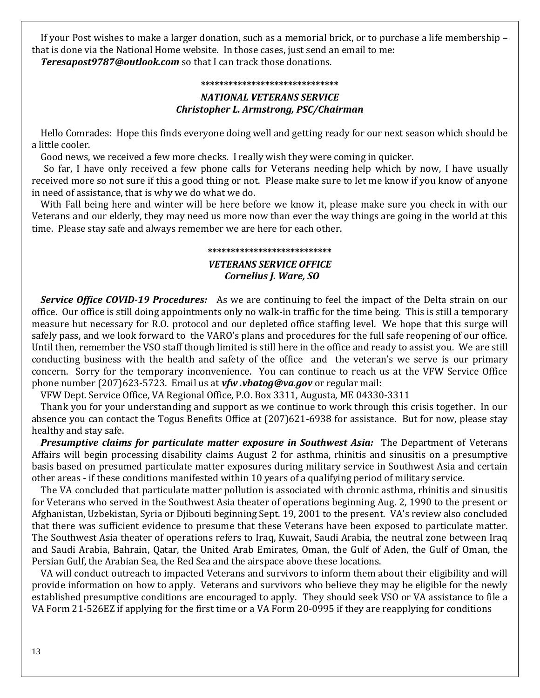If your Post wishes to make a larger donation, such as a memorial brick, or to purchase a life membership – that is done via the National Home website. In those cases, just send an email to me: *Teresapost9787@outlook.com* so that I can track those donations.

#### **\*\*\*\*\*\*\*\*\*\*\*\*\*\*\*\*\*\*\*\*\*\*\*\*\*\*\*\*\*\***

# *NATIONAL VETERANS SERVICE Christopher L. Armstrong, PSC/Chairman*

 Hello Comrades: Hope this finds everyone doing well and getting ready for our next season which should be a little cooler.

Good news, we received a few more checks. I really wish they were coming in quicker.

So far, I have only received a few phone calls for Veterans needing help which by now, I have usually received more so not sure if this a good thing or not. Please make sure to let me know if you know of anyone in need of assistance, that is why we do what we do.

 With Fall being here and winter will be here before we know it, please make sure you check in with our Veterans and our elderly, they may need us more now than ever the way things are going in the world at this time. Please stay safe and always remember we are here for each other.

# **\*\*\*\*\*\*\*\*\*\*\*\*\*\*\*\*\*\*\*\*\*\*\*\*\*\*\*** *VETERANS SERVICE OFFICE Cornelius J. Ware, SO*

 *Service Office COVID-19 Procedures:* As we are continuing to feel the impact of the Delta strain on our office. Our office is still doing appointments only no walk-in traffic for the time being. This is still a temporary measure but necessary for R.O. protocol and our depleted office staffing level. We hope that this surge will safely pass, and we look forward to the VARO's plans and procedures for the full safe reopening of our office. Until then, remember the VSO staff though limited is still here in the office and ready to assist you. We are still conducting business with the health and safety of the office and the veteran's we serve is our primary concern. Sorry for the temporary inconvenience. You can continue to reach us at the VFW Service Office phone number (207)623-5723. Email us at *[vfw .vbatog@va.gov](mailto:vfw%20.vbatog@va.gov)* or regular mail:

VFW Dept. Service Office, VA Regional Office, P.O. Box 3311, Augusta, ME 04330-3311

 Thank you for your understanding and support as we continue to work through this crisis together. In our absence you can contact the Togus Benefits Office at (207)621-6938 for assistance. But for now, please stay healthy and stay safe.

 *Presumptive claims for particulate matter exposure in Southwest Asia:* The Department of Veterans Affairs will begin processing disability claims August 2 for asthma, rhinitis and sinusitis on a presumptive basis based on presumed particulate matter exposures during military service in Southwest Asia and certain other areas - if these conditions manifested within 10 years of a qualifying period of military service.

 The VA concluded that particulate matter pollution is associated with chronic asthma, rhinitis and sinusitis for Veterans who served in the Southwest Asia theater of operations beginning Aug. 2, 1990 to the present or Afghanistan, Uzbekistan, Syria or Djibouti beginning Sept. 19, 2001 to the present. VA's review also concluded that there was sufficient evidence to presume that these Veterans have been exposed to particulate matter. The Southwest Asia theater of operations refers to Iraq, Kuwait, Saudi Arabia, the neutral zone between Iraq and Saudi Arabia, Bahrain, Qatar, the United Arab Emirates, Oman, the Gulf of Aden, the Gulf of Oman, the Persian Gulf, the Arabian Sea, the Red Sea and the airspace above these locations.

 VA will conduct outreach to impacted Veterans and survivors to inform them about their eligibility and will provide information on how to apply. Veterans and survivors who believe they may be eligible for the newly established presumptive conditions are encouraged to apply. They should seek VSO or VA assistance to file a VA Form 21-526EZ if applying for the first time or a VA Form 20-0995 if they are reapplying for conditions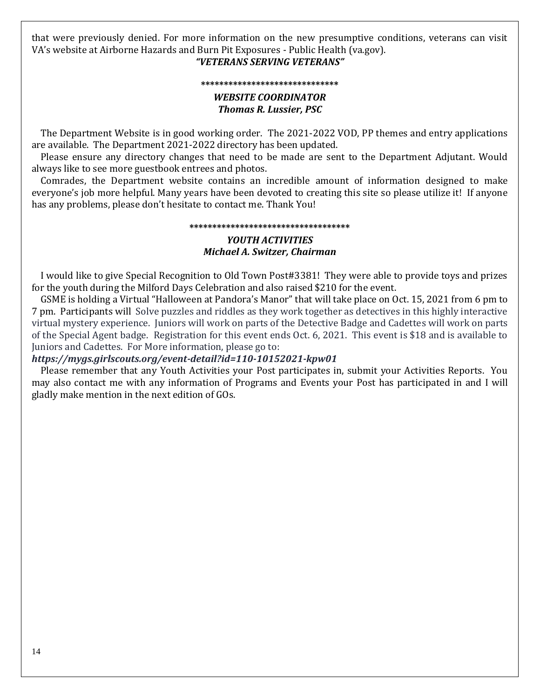that were previously denied. For more information on the new presumptive conditions, veterans can visit VA's website at Airborne Hazards and Burn Pit Exposures - Public Health (va.gov).

# *"VETERANS SERVING VETERANS"*

#### **\*\*\*\*\*\*\*\*\*\*\*\*\*\*\*\*\*\*\*\*\*\*\*\*\*\*\*\*\*\***

## *WEBSITE COORDINATOR Thomas R. Lussier, PSC*

 The Department Website is in good working order. The 2021-2022 VOD, PP themes and entry applications are available. The Department 2021-2022 directory has been updated.

 Please ensure any directory changes that need to be made are sent to the Department Adjutant. Would always like to see more guestbook entrees and photos.

 Comrades, the Department website contains an incredible amount of information designed to make everyone's job more helpful. Many years have been devoted to creating this site so please utilize it! If anyone has any problems, please don't hesitate to contact me. Thank You!

#### **\*\*\*\*\*\*\*\*\*\*\*\*\*\*\*\*\*\*\*\*\*\*\*\*\*\*\*\*\*\*\*\*\*\*\***

## *YOUTH ACTIVITIES Michael A. Switzer, Chairman*

 I would like to give Special Recognition to Old Town Post#3381! They were able to provide toys and prizes for the youth during the Milford Days Celebration and also raised \$210 for the event.

 GSME is holding a Virtual "Halloween at Pandora's Manor" that will take place on Oct. 15, 2021 from 6 pm to 7 pm. Participants will Solve puzzles and riddles as they work together as detectives in this highly interactive virtual mystery experience. Juniors will work on parts of the Detective Badge and Cadettes will work on parts of the Special Agent badge. Registration for this event ends Oct. 6, 2021. This event is \$18 and is available to Juniors and Cadettes. For More information, please go to:

# *https://mygs.girlscouts.org/event-detail?id=110-10152021-kpw01*

 Please remember that any Youth Activities your Post participates in, submit your Activities Reports. You may also contact me with any information of Programs and Events your Post has participated in and I will gladly make mention in the next edition of GOs.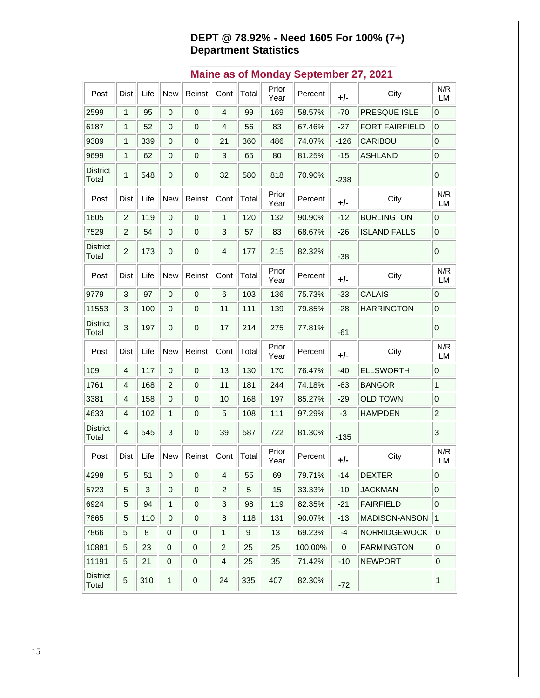# **DEPT @ 78.92% - Need 1605 For 100% (7+) Department Statistics**

| Post                     | Dist           | Life | <b>New</b>       | Reinst       | Cont           | Total | Prior<br>Year | Percent | +/-    | City                  | N/R<br>LM               |
|--------------------------|----------------|------|------------------|--------------|----------------|-------|---------------|---------|--------|-----------------------|-------------------------|
| 2599                     | $\mathbf{1}$   | 95   | 0                | 0            | 4              | 99    | 169           | 58.57%  | $-70$  | PRESQUE ISLE          | 0                       |
| 6187                     | 1              | 52   | $\mathbf 0$      | 0            | 4              | 56    | 83            | 67.46%  | $-27$  | <b>FORT FAIRFIELD</b> | 0                       |
| 9389                     | 1              | 339  | $\mathbf 0$      | 0            | 21             | 360   | 486           | 74.07%  | $-126$ | CARIBOU               | 0                       |
| 9699                     | 1              | 62   | $\mathbf 0$      | 0            | 3              | 65    | 80            | 81.25%  | $-15$  | <b>ASHLAND</b>        | 0                       |
| <b>District</b><br>Total | 1              | 548  | 0                | $\mathbf 0$  | 32             | 580   | 818           | 70.90%  | $-238$ |                       | 0                       |
| Post                     | Dist           | Life | <b>New</b>       | Reinst       | Cont           | Total | Prior<br>Year | Percent | +/-    | City                  | N/R<br>LM               |
| 1605                     | $\overline{c}$ | 119  | $\mathbf 0$      | 0            | 1              | 120   | 132           | 90.90%  | $-12$  | <b>BURLINGTON</b>     | $\mathbf 0$             |
| 7529                     | $\overline{c}$ | 54   | $\pmb{0}$        | $\pmb{0}$    | 3              | 57    | 83            | 68.67%  | $-26$  | <b>ISLAND FALLS</b>   | $\overline{0}$          |
| <b>District</b><br>Total | $\overline{2}$ | 173  | $\mathbf 0$      | $\mathbf 0$  | 4              | 177   | 215           | 82.32%  | $-38$  |                       | $\overline{0}$          |
| Post                     | Dist           | Life | <b>New</b>       | Reinst       | Cont           | Total | Prior<br>Year | Percent | $+/-$  | City                  | N/R<br>LM               |
| 9779                     | 3              | 97   | $\pmb{0}$        | $\pmb{0}$    | 6              | 103   | 136           | 75.73%  | $-33$  | <b>CALAIS</b>         | 0                       |
| 11553                    | 3              | 100  | 0                | 0            | 11             | 111   | 139           | 79.85%  | $-28$  | <b>HARRINGTON</b>     | $\overline{0}$          |
| <b>District</b><br>Total | $\mathbf{3}$   | 197  | 0                | $\mathbf 0$  | 17             | 214   | 275           | 77.81%  | $-61$  |                       | $\overline{0}$          |
| Post                     | Dist           | Life | <b>New</b>       | Reinst       | Cont           | Total | Prior<br>Year | Percent | +/-    | City                  | N/R<br>LM               |
| 109                      | 4              | 117  | 0                | 0            | 13             | 130   | 170           | 76.47%  | $-40$  | <b>ELLSWORTH</b>      | $\pmb{0}$               |
| 1761                     | 4              | 168  | $\overline{c}$   | 0            | 11             | 181   | 244           | 74.18%  | -63    | <b>BANGOR</b>         | $\mathbf{1}$            |
| 3381                     | 4              | 158  | $\mathbf 0$      | 0            | 10             | 168   | 197           | 85.27%  | -29    | <b>OLD TOWN</b>       | $\overline{0}$          |
| 4633                     | 4              | 102  | 1                | 0            | 5              | 108   | 111           | 97.29%  | -3     | <b>HAMPDEN</b>        | $\overline{c}$          |
| <b>District</b><br>Total | 4              | 545  | 3                | 0            | 39             | 587   | 722           | 81.30%  | $-135$ |                       | 3                       |
| Post                     | Dist           | Life | <b>New</b>       | Reinst       | Cont           | Total | Prior<br>Year | Percent | $+/-$  | City                  | N/R<br>LM               |
| 4298                     | 5 <sup>5</sup> | 51   | $\overline{0}$   | $\mathbf{0}$ | $\overline{4}$ | 55    | 69            | 79.71%  | $-14$  | <b>DEXTER</b>         | $\overline{\mathbf{0}}$ |
| 5723                     | 5              | 3    | 0                | 0            | $\overline{2}$ | 5     | 15            | 33.33%  | $-10$  | <b>JACKMAN</b>        | $\overline{0}$          |
| 6924                     | 5              | 94   | 1                | 0            | 3              | 98    | 119           | 82.35%  | $-21$  | <b>FAIRFIELD</b>      | 0                       |
| 7865                     | 5              | 110  | $\boldsymbol{0}$ | 0            | 8              | 118   | 131           | 90.07%  | $-13$  | MADISON-ANSON         | 1                       |
| 7866                     | $\mathbf 5$    | 8    | 0                | 0            | 1              | 9     | 13            | 69.23%  | -4     | <b>NORRIDGEWOCK</b>   | $\overline{0}$          |
| 10881                    | 5              | 23   | 0                | 0            | 2              | 25    | 25            | 100.00% | 0      | <b>FARMINGTON</b>     | 0                       |
| 11191                    | 5              | 21   | 0                | 0            | 4              | 25    | 35            | 71.42%  | $-10$  | <b>NEWPORT</b>        | $\mathbf 0$             |
| <b>District</b><br>Total | 5              | 310  | 1                | 0            | 24             | 335   | 407           | 82.30%  | $-72$  |                       | 1                       |

# **\_\_\_\_\_\_\_\_\_\_\_\_\_\_\_\_\_\_\_\_\_\_\_\_\_\_\_\_\_\_\_\_\_\_\_ Maine as of Monday September 27, 2021**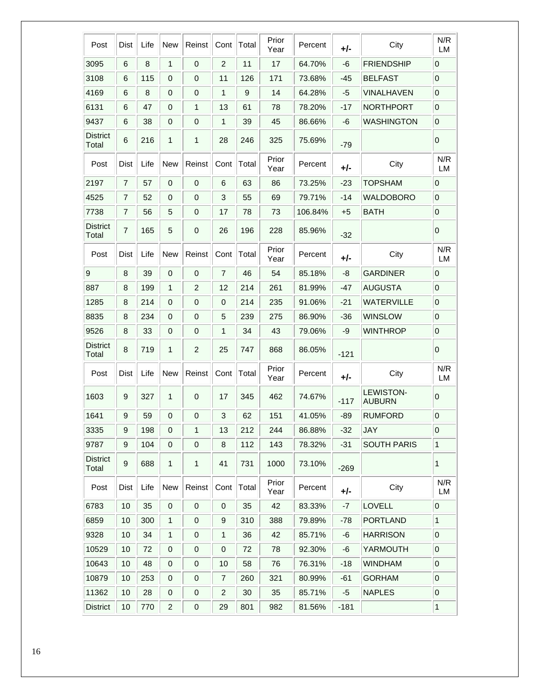| Post                     | Dist             | Life | <b>New</b>     | Reinst         | Cont             | Total | Prior<br>Year | Percent | $+/-$  | City                              | N/R<br>LM        |
|--------------------------|------------------|------|----------------|----------------|------------------|-------|---------------|---------|--------|-----------------------------------|------------------|
| 3095                     | 6                | 8    | 1              | $\mathbf 0$    | $\overline{c}$   | 11    | 17            | 64.70%  | -6     | <b>FRIENDSHIP</b>                 | 0                |
| 3108                     | 6                | 115  | 0              | 0              | 11               | 126   | 171           | 73.68%  | $-45$  | <b>BELFAST</b>                    | $\mathbf 0$      |
| 4169                     | 6                | 8    | 0              | 0              | 1                | 9     | 14            | 64.28%  | -5     | <b>VINALHAVEN</b>                 | $\boldsymbol{0}$ |
| 6131                     | 6                | 47   | 0              | 1              | 13               | 61    | 78            | 78.20%  | -17    | <b>NORTHPORT</b>                  | $\mathbf 0$      |
| 9437                     | 6                | 38   | 0              | 0              | 1                | 39    | 45            | 86.66%  | -6     | <b>WASHINGTON</b>                 | $\mathbf 0$      |
| <b>District</b><br>Total | 6                | 216  | 1              | 1              | 28               | 246   | 325           | 75.69%  | -79    |                                   | 0                |
| Post                     | Dist             | Life | <b>New</b>     | Reinst         | Cont             | Total | Prior<br>Year | Percent | +/-    | City                              | N/R<br>LM        |
| 2197                     | 7                | 57   | 0              | $\mathbf 0$    | 6                | 63    | 86            | 73.25%  | $-23$  | <b>TOPSHAM</b>                    | 0                |
| 4525                     | 7                | 52   | 0              | $\mathbf 0$    | 3                | 55    | 69            | 79.71%  | -14    | <b>WALDOBORO</b>                  | $\mathbf 0$      |
| 7738                     | 7                | 56   | 5              | 0              | 17               | 78    | 73            | 106.84% | $+5$   | <b>BATH</b>                       | $\mathbf 0$      |
| <b>District</b><br>Total | 7                | 165  | 5              | 0              | 26               | 196   | 228           | 85.96%  | $-32$  |                                   | 0                |
| Post                     | Dist             | Life | <b>New</b>     | Reinst         | Cont             | Total | Prior<br>Year | Percent | +/-    | City                              | N/R<br>LM        |
| $\boldsymbol{9}$         | 8                | 39   | 0              | $\mathbf 0$    | $\overline{7}$   | 46    | 54            | 85.18%  | -8     | <b>GARDINER</b>                   | $\mathbf 0$      |
| 887                      | 8                | 199  | $\mathbf{1}$   | $\overline{c}$ | 12               | 214   | 261           | 81.99%  | -47    | <b>AUGUSTA</b>                    | $\mathbf 0$      |
| 1285                     | 8                | 214  | 0              | 0              | 0                | 214   | 235           | 91.06%  | $-21$  | <b>WATERVILLE</b>                 | $\boldsymbol{0}$ |
| 8835                     | 8                | 234  | 0              | 0              | 5                | 239   | 275           | 86.90%  | $-36$  | <b>WINSLOW</b>                    | $\mathbf 0$      |
| 9526                     | 8                | 33   | 0              | 0              | 1                | 34    | 43            | 79.06%  | -9     | <b>WINTHROP</b>                   | $\boldsymbol{0}$ |
| <b>District</b><br>Total | 8                | 719  | 1              | $\overline{2}$ | 25               | 747   | 868           | 86.05%  | $-121$ |                                   | 0                |
| Post                     | Dist             | Life | <b>New</b>     | Reinst         | Cont             | Total | Prior<br>Year | Percent | +/-    | City                              | N/R<br>LM        |
| 1603                     | 9                | 327  | 1              | 0              | 17               | 345   | 462           | 74.67%  | $-117$ | <b>LEWISTON-</b><br><b>AUBURN</b> | 0                |
| 1641                     | 9                | 59   | 0              | 0              | 3                | 62    | 151           | 41.05%  | $-89$  | <b>RUMFORD</b>                    | $\mathbf 0$      |
| 3335                     | 9                | 198  | 0              | 1              | 13               | 212   | 244           | 86.88%  | $-32$  | <b>JAY</b>                        | $\boldsymbol{0}$ |
| 9787                     | $\boldsymbol{9}$ | 104  | $\pmb{0}$      | $\,0\,$        | 8                | 112   | 143           | 78.32%  | $-31$  | <b>SOUTH PARIS</b>                | $\mathbf{1}$     |
| <b>District</b><br>Total | 9                | 688  | $\mathbf{1}$   | 1              | 41               | 731   | 1000          | 73.10%  | $-269$ |                                   | $\mathbf{1}$     |
| Post                     | Dist             | Life | <b>New</b>     | Reinst         | Cont             | Total | Prior<br>Year | Percent | +/-    | City                              | N/R<br>LM        |
| 6783                     | 10               | 35   | 0              | $\,0\,$        | 0                | 35    | 42            | 83.33%  | $-7$   | LOVELL                            | $\mathbf 0$      |
| 6859                     | 10               | 300  | $\mathbf{1}$   | 0              | 9                | 310   | 388           | 79.89%  | -78    | <b>PORTLAND</b>                   | $\mathbf{1}$     |
| 9328                     | 10               | 34   | $\mathbf{1}$   | $\mathbf 0$    | 1                | 36    | 42            | 85.71%  | -6     | <b>HARRISON</b>                   | $\mathbf 0$      |
| 10529                    | 10               | 72   | $\mathbf 0$    | $\,0\,$        | $\boldsymbol{0}$ | 72    | 78            | 92.30%  | -6     | YARMOUTH                          | $\mathbf 0$      |
| 10643                    | 10               | 48   | 0              | 0              | 10               | 58    | 76            | 76.31%  | $-18$  | <b>WINDHAM</b>                    | $\mathbf 0$      |
| 10879                    | 10               | 253  | 0              | 0              | $\overline{7}$   | 260   | 321           | 80.99%  | -61    | <b>GORHAM</b>                     | $\mbox{O}$       |
| 11362                    | 10               | 28   | $\mathbf 0$    | $\,0\,$        | 2                | 30    | 35            | 85.71%  | -5     | <b>NAPLES</b>                     | $\mathbf 0$      |
| <b>District</b>          | 10               | 770  | $\overline{c}$ | $\mathbf 0$    | 29               | 801   | 982           | 81.56%  | $-181$ |                                   | 1                |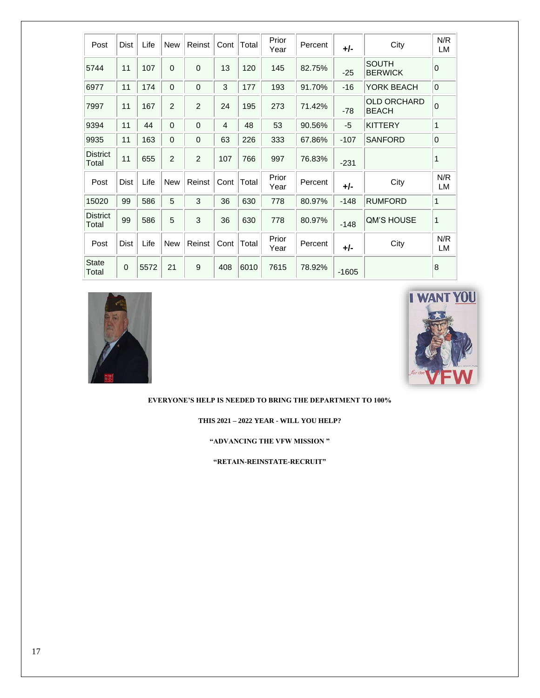| Post                     | Dist        | Life | <b>New</b>     | Reinst         | Cont           | Total | Prior<br>Year | Percent | +/-     | City                               | N/R<br>LM      |
|--------------------------|-------------|------|----------------|----------------|----------------|-------|---------------|---------|---------|------------------------------------|----------------|
| 5744                     | 11          | 107  | $\Omega$       | $\Omega$       | 13             | 120   | 145           | 82.75%  | $-25$   | <b>SOUTH</b><br><b>BERWICK</b>     | $\Omega$       |
| 6977                     | 11          | 174  | 0              | 0              | 3              | 177   | 193           | 91.70%  | $-16$   | YORK BEACH                         | $\overline{0}$ |
| 7997                     | 11          | 167  | $\overline{2}$ | $\overline{2}$ | 24             | 195   | 273           | 71.42%  | $-78$   | <b>OLD ORCHARD</b><br><b>BEACH</b> | $\overline{0}$ |
| 9394                     | 11          | 44   | $\mathbf 0$    | $\mathbf 0$    | $\overline{4}$ | 48    | 53            | 90.56%  | -5      | <b>KITTERY</b>                     | 1              |
| 9935                     | 11          | 163  | 0              | 0              | 63             | 226   | 333           | 67.86%  | $-107$  | <b>SANFORD</b>                     | $\mathbf 0$    |
| <b>District</b><br>Total | 11          | 655  | 2              | 2              | 107            | 766   | 997           | 76.83%  | $-231$  |                                    | 1              |
| Post                     | <b>Dist</b> | Life | <b>New</b>     | Reinst         | Cont           | Total | Prior<br>Year | Percent | +/-     | City                               | N/R<br>LM      |
| 15020                    | 99          | 586  | 5              | 3              | 36             | 630   | 778           | 80.97%  | $-148$  | <b>RUMFORD</b>                     | $\mathbf{1}$   |
| <b>District</b><br>Total | 99          | 586  | 5              | 3              | 36             | 630   | 778           | 80.97%  | $-148$  | <b>QM'S HOUSE</b>                  | 1              |
| Post                     | <b>Dist</b> | Life | <b>New</b>     | Reinst         | Cont           | Total | Prior<br>Year | Percent | $+/-$   | City                               | N/R<br>LM      |
| <b>State</b><br>Total    | $\mathbf 0$ | 5572 | 21             | 9              | 408            | 6010  | 7615          | 78.92%  | $-1605$ |                                    | 8              |





**EVERYONE'S HELP IS NEEDED TO BRING THE DEPARTMENT TO 100%**

**THIS 2021 – 2022 YEAR - WILL YOU HELP?**

**"ADVANCING THE VFW MISSION "** 

**"RETAIN-REINSTATE-RECRUIT"**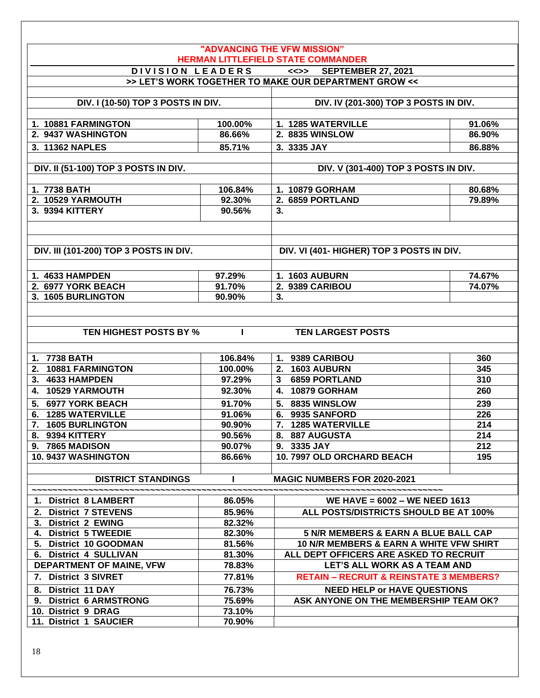|                                                                   |                  | "ADVANCING THE VFW MISSION"<br><b>HERMAN LITTLEFIELD STATE COMMANDER</b>                   |                  |
|-------------------------------------------------------------------|------------------|--------------------------------------------------------------------------------------------|------------------|
|                                                                   | DIVISION LEADERS | <<>> SEPTEMBER 27, 2021                                                                    |                  |
|                                                                   |                  | >> LET'S WORK TOGETHER TO MAKE OUR DEPARTMENT GROW <<                                      |                  |
|                                                                   |                  |                                                                                            |                  |
| DIV. I (10-50) TOP 3 POSTS IN DIV.                                |                  | DIV. IV (201-300) TOP 3 POSTS IN DIV.                                                      |                  |
|                                                                   |                  |                                                                                            |                  |
| 1. 10881 FARMINGTON                                               | 100.00%          | 1. 1285 WATERVILLE                                                                         | 91.06%           |
| 2. 9437 WASHINGTON                                                | 86.66%           | <b>2. 8835 WINSLOW</b>                                                                     | 86.90%           |
| 3. 11362 NAPLES                                                   | 85.71%           | 3. 3335 JAY                                                                                | 86.88%           |
| DIV. II (51-100) TOP 3 POSTS IN DIV.                              |                  | DIV. V (301-400) TOP 3 POSTS IN DIV.                                                       |                  |
|                                                                   |                  |                                                                                            |                  |
| 1. 7738 BATH                                                      | 106.84%          | 1. 10879 GORHAM                                                                            | 80.68%           |
| 2. 10529 YARMOUTH                                                 | 92.30%           | 2. 6859 PORTLAND                                                                           | 79.89%           |
| 3. 9394 KITTERY                                                   | 90.56%           | 3.                                                                                         |                  |
|                                                                   |                  |                                                                                            |                  |
|                                                                   |                  |                                                                                            |                  |
| <b>DIV. III (101-200) TOP 3 POSTS IN DIV.</b>                     |                  | DIV. VI (401- HIGHER) TOP 3 POSTS IN DIV.                                                  |                  |
|                                                                   |                  |                                                                                            |                  |
| 1. 4633 HAMPDEN                                                   |                  | 1. 1603 AUBURN                                                                             |                  |
| 2. 6977 YORK BEACH                                                | 97.29%<br>91.70% | 2. 9389 CARIBOU                                                                            | 74.67%<br>74.07% |
| 3. 1605 BURLINGTON                                                | 90.90%           | 3.                                                                                         |                  |
|                                                                   |                  |                                                                                            |                  |
|                                                                   |                  |                                                                                            |                  |
| TEN HIGHEST POSTS BY %                                            | н                | <b>TEN LARGEST POSTS</b>                                                                   |                  |
|                                                                   |                  |                                                                                            |                  |
| 1. 7738 BATH                                                      | 106.84%          | 1. 9389 CARIBOU                                                                            | 360              |
| 2. 10881 FARMINGTON                                               | 100.00%          | 2. 1603 AUBURN                                                                             | 345              |
| 3. 4633 HAMPDEN                                                   | 97.29%           | 3 6859 PORTLAND                                                                            | 310              |
| 4. 10529 YARMOUTH                                                 | 92.30%           | 4. 10879 GORHAM                                                                            | 260              |
| <b>6977 YORK BEACH</b><br>5.                                      | 91.70%           | 5. 8835 WINSLOW                                                                            | 239              |
| <b>1285 WATERVILLE</b><br>6.                                      | 91.06%           | 6. 9935 SANFORD                                                                            | 226              |
| 7. 1605 BURLINGTON                                                | 90.90%           | 7. 1285 WATERVILLE                                                                         | 214              |
| 8. 9394 KITTERY                                                   | 90.56%           | 8. 887 AUGUSTA                                                                             | 214              |
| 9. 7865 MADISON                                                   | 90.07%           | 9. 3335 JAY                                                                                | 212              |
| 10.9437 WASHINGTON                                                | 86.66%           | 10. 7997 OLD ORCHARD BEACH                                                                 | 195              |
|                                                                   |                  |                                                                                            |                  |
| <b>DISTRICT STANDINGS</b>                                         |                  | <b>MAGIC NUMBERS FOR 2020-2021</b>                                                         |                  |
|                                                                   |                  |                                                                                            |                  |
| 1. District 8 LAMBERT                                             | 86.05%           | WE HAVE = $6002 - WE$ NEED 1613                                                            |                  |
| 2. District 7 STEVENS                                             | 85.96%           | ALL POSTS/DISTRICTS SHOULD BE AT 100%                                                      |                  |
| 3. District 2 EWING                                               | 82.32%           |                                                                                            |                  |
| 4. District 5 TWEEDIE<br>5. District 10 GOODMAN                   | 82.30%<br>81.56% | 5 N/R MEMBERS & EARN A BLUE BALL CAP<br><b>10 N/R MEMBERS &amp; EARN A WHITE VFW SHIRT</b> |                  |
| 6. District 4 SULLIVAN                                            | 81.30%           | ALL DEPT OFFICERS ARE ASKED TO RECRUIT                                                     |                  |
| DEPARTMENT OF MAINE, VFW                                          | 78.83%           | LET'S ALL WORK AS A TEAM AND                                                               |                  |
| 7. District 3 SIVRET                                              | 77.81%           | <b>RETAIN - RECRUIT &amp; REINSTATE 3 MEMBERS?</b>                                         |                  |
|                                                                   |                  |                                                                                            |                  |
| <b>District 11 DAY</b><br>8.<br><b>District 6 ARMSTRONG</b><br>9. | 76.73%<br>75.69% | <b>NEED HELP or HAVE QUESTIONS</b><br>ASK ANYONE ON THE MEMBERSHIP TEAM OK?                |                  |
| 10. District 9 DRAG                                               | 73.10%           |                                                                                            |                  |
| 11. District 1 SAUCIER                                            | 70.90%           |                                                                                            |                  |
|                                                                   |                  |                                                                                            |                  |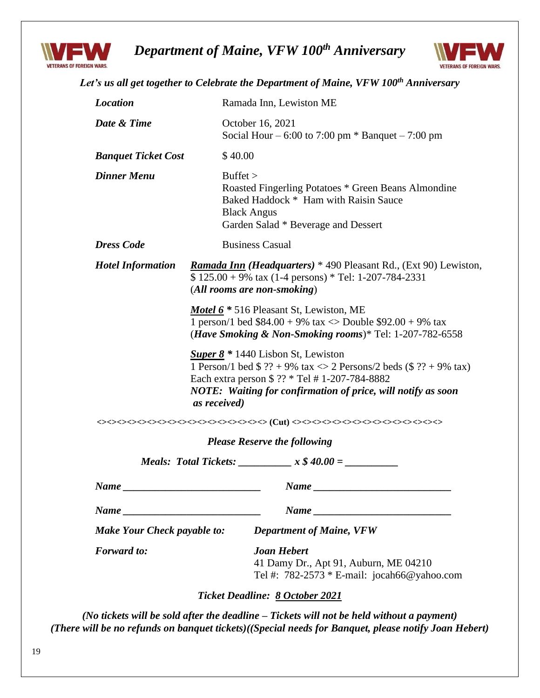

# *Department of Maine, VFW 100th Anniversary*



|                                                 |                                                                                                                                                                                                                                                                                                                                                                                                                                                                    | Ramada Inn, Lewiston ME                                                                                                                                            |  |  |  |  |  |  |  |
|-------------------------------------------------|--------------------------------------------------------------------------------------------------------------------------------------------------------------------------------------------------------------------------------------------------------------------------------------------------------------------------------------------------------------------------------------------------------------------------------------------------------------------|--------------------------------------------------------------------------------------------------------------------------------------------------------------------|--|--|--|--|--|--|--|
| Date & Time                                     |                                                                                                                                                                                                                                                                                                                                                                                                                                                                    | October 16, 2021<br>Social Hour – 6:00 to 7:00 pm $*$ Banquet – 7:00 pm                                                                                            |  |  |  |  |  |  |  |
| <b>Banquet Ticket Cost</b>                      | \$40.00                                                                                                                                                                                                                                                                                                                                                                                                                                                            |                                                                                                                                                                    |  |  |  |  |  |  |  |
| <b>Dinner Menu</b>                              | But fet >                                                                                                                                                                                                                                                                                                                                                                                                                                                          | Roasted Fingerling Potatoes * Green Beans Almondine<br>Baked Haddock * Ham with Raisin Sauce<br><b>Black Angus</b><br>Garden Salad * Beverage and Dessert          |  |  |  |  |  |  |  |
| <b>Dress Code</b>                               |                                                                                                                                                                                                                                                                                                                                                                                                                                                                    | <b>Business Casual</b>                                                                                                                                             |  |  |  |  |  |  |  |
| <b>Hotel Information</b>                        |                                                                                                                                                                                                                                                                                                                                                                                                                                                                    | <b>Ramada Inn (Headquarters)</b> * 490 Pleasant Rd., (Ext 90) Lewiston,<br>$$ 125.00 + 9\%$ tax (1-4 persons) * Tel: 1-207-784-2331<br>(All rooms are non-smoking) |  |  |  |  |  |  |  |
|                                                 | <b>Motel 6</b> * 516 Pleasant St, Lewiston, ME<br>1 person/1 bed $$84.00 + 9\%$ tax $\langle$ Double $$92.00 + 9\%$ tax<br>( <i>Have Smoking &amp; Non-Smoking rooms</i> )* Tel: $1-207-782-6558$<br><b>Super 8</b> $*$ 1440 Lisbon St, Lewiston<br>1 Person/1 bed \$ ?? + 9% tax $\ll$ 2 Persons/2 beds (\$ ?? + 9% tax)<br>Each extra person \$ ?? * Tel # 1-207-784-8882<br><b>NOTE:</b> Waiting for confirmation of price, will notify as soon<br>as received) |                                                                                                                                                                    |  |  |  |  |  |  |  |
|                                                 |                                                                                                                                                                                                                                                                                                                                                                                                                                                                    |                                                                                                                                                                    |  |  |  |  |  |  |  |
|                                                 |                                                                                                                                                                                                                                                                                                                                                                                                                                                                    |                                                                                                                                                                    |  |  |  |  |  |  |  |
|                                                 |                                                                                                                                                                                                                                                                                                                                                                                                                                                                    |                                                                                                                                                                    |  |  |  |  |  |  |  |
|                                                 |                                                                                                                                                                                                                                                                                                                                                                                                                                                                    | <b>Please Reserve the following</b>                                                                                                                                |  |  |  |  |  |  |  |
|                                                 |                                                                                                                                                                                                                                                                                                                                                                                                                                                                    | <i>Meals:</i> Total Tickets: $\frac{x \& 40.00}{x} =$                                                                                                              |  |  |  |  |  |  |  |
|                                                 |                                                                                                                                                                                                                                                                                                                                                                                                                                                                    |                                                                                                                                                                    |  |  |  |  |  |  |  |
|                                                 |                                                                                                                                                                                                                                                                                                                                                                                                                                                                    |                                                                                                                                                                    |  |  |  |  |  |  |  |
| $Name \_$<br><b>Make Your Check payable to:</b> |                                                                                                                                                                                                                                                                                                                                                                                                                                                                    | <b>Department of Maine, VFW</b>                                                                                                                                    |  |  |  |  |  |  |  |
| <b>Forward</b> to:                              |                                                                                                                                                                                                                                                                                                                                                                                                                                                                    | <b>Joan Hebert</b><br>41 Damy Dr., Apt 91, Auburn, ME 04210<br>Tel #: $782-2573 * E-mail: jocah66@yahoo.com$                                                       |  |  |  |  |  |  |  |

*(No tickets will be sold after the deadline – Tickets will not be held without a payment) (There will be no refunds on banquet tickets)((Special needs for Banquet, please notify Joan Hebert)*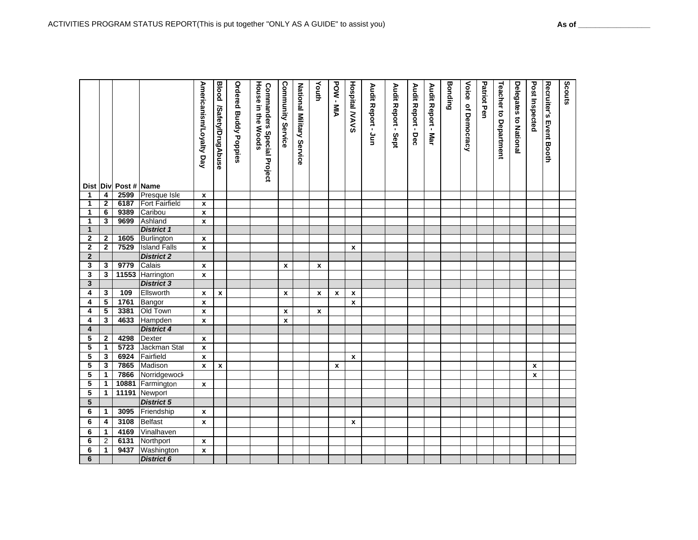**6**

*District 6*

|                         |                |                      |                     | Americanism/Loyalty Day   | <b>Blood</b><br>/Safety/DrugAbuse | <b>Ordered Buddy Poppies</b> | House<br><b>Commanders Special Project</b><br>in the Woods | Community<br>Service | National Military Service | Youth              | POW-MIA      | <b>Hospital MAVS</b> | Audit Report - Jun | Audit Report - Sept | Audit Report - Dec | Audit Report - Mar | <b>Bonding</b> | Voice<br>of Democracy | <b>Patriot Pen</b> | <b>Teacher to Department</b> | <b>Delegates to National</b> | Post Inspected | Recruiter's<br><b>Event Booth</b> | Scouts |
|-------------------------|----------------|----------------------|---------------------|---------------------------|-----------------------------------|------------------------------|------------------------------------------------------------|----------------------|---------------------------|--------------------|--------------|----------------------|--------------------|---------------------|--------------------|--------------------|----------------|-----------------------|--------------------|------------------------------|------------------------------|----------------|-----------------------------------|--------|
|                         |                | Dist Div Post # Name |                     |                           |                                   |                              |                                                            |                      |                           |                    |              |                      |                    |                     |                    |                    |                |                       |                    |                              |                              |                |                                   |        |
| $\mathbf{1}$            | 4              | 2599                 | Presque Isle        | $\pmb{\chi}$              |                                   |                              |                                                            |                      |                           |                    |              |                      |                    |                     |                    |                    |                |                       |                    |                              |                              |                |                                   |        |
| $\mathbf{1}$            | $\overline{2}$ | 6187                 | Fort Fairfield      | $\pmb{\chi}$              |                                   |                              |                                                            |                      |                           |                    |              |                      |                    |                     |                    |                    |                |                       |                    |                              |                              |                |                                   |        |
| 1                       | 6              | 9389                 | Caribou             | $\pmb{\mathsf{x}}$        |                                   |                              |                                                            |                      |                           |                    |              |                      |                    |                     |                    |                    |                |                       |                    |                              |                              |                |                                   |        |
| 1                       | 3              | 9699                 | Ashland             | $\pmb{\chi}$              |                                   |                              |                                                            |                      |                           |                    |              |                      |                    |                     |                    |                    |                |                       |                    |                              |                              |                |                                   |        |
| $\mathbf{1}$            |                |                      | <b>District 1</b>   |                           |                                   |                              |                                                            |                      |                           |                    |              |                      |                    |                     |                    |                    |                |                       |                    |                              |                              |                |                                   |        |
| $\mathbf{2}$            | $\mathbf{2}$   | 1605                 | Burlington          | X                         |                                   |                              |                                                            |                      |                           |                    |              |                      |                    |                     |                    |                    |                |                       |                    |                              |                              |                |                                   |        |
| $\mathbf{2}$            | $\mathbf{2}$   | 7529                 | <b>Island Falls</b> | $\pmb{\chi}$              |                                   |                              |                                                            |                      |                           |                    |              | X                    |                    |                     |                    |                    |                |                       |                    |                              |                              |                |                                   |        |
| $\overline{2}$          |                |                      | <b>District 2</b>   |                           |                                   |                              |                                                            |                      |                           |                    |              |                      |                    |                     |                    |                    |                |                       |                    |                              |                              |                |                                   |        |
| 3                       | 3              | 9779                 | Calais              | $\pmb{\mathsf{x}}$        |                                   |                              |                                                            | $\pmb{\chi}$         |                           | x                  |              |                      |                    |                     |                    |                    |                |                       |                    |                              |                              |                |                                   |        |
| 3                       | 3              | 11553                | Harrington          | $\boldsymbol{\mathsf{x}}$ |                                   |                              |                                                            |                      |                           |                    |              |                      |                    |                     |                    |                    |                |                       |                    |                              |                              |                |                                   |        |
| $\mathbf{3}$            |                |                      | <b>District 3</b>   |                           |                                   |                              |                                                            |                      |                           |                    |              |                      |                    |                     |                    |                    |                |                       |                    |                              |                              |                |                                   |        |
| 4                       | 3              | 109                  | Ellsworth           | $\pmb{\chi}$              | x                                 |                              |                                                            | $\pmb{\mathsf{x}}$   |                           | $\pmb{\mathsf{x}}$ | $\pmb{\chi}$ | $\pmb{\mathsf{x}}$   |                    |                     |                    |                    |                |                       |                    |                              |                              |                |                                   |        |
| 4                       | 5              | 1761                 | Bangor              | $\pmb{\chi}$              |                                   |                              |                                                            |                      |                           |                    |              | $\pmb{\chi}$         |                    |                     |                    |                    |                |                       |                    |                              |                              |                |                                   |        |
| 4                       | 5              | 3381                 | Old Town            | $\pmb{\chi}$              |                                   |                              |                                                            | x                    |                           | $\pmb{\mathsf{x}}$ |              |                      |                    |                     |                    |                    |                |                       |                    |                              |                              |                |                                   |        |
| 4                       | 3              | 4633                 | Hampden             | $\pmb{\chi}$              |                                   |                              |                                                            | $\pmb{\mathsf{x}}$   |                           |                    |              |                      |                    |                     |                    |                    |                |                       |                    |                              |                              |                |                                   |        |
| $\overline{\mathbf{4}}$ |                |                      | <b>District 4</b>   |                           |                                   |                              |                                                            |                      |                           |                    |              |                      |                    |                     |                    |                    |                |                       |                    |                              |                              |                |                                   |        |
| 5                       | $\mathbf{2}$   | 4298                 | Dexter              | $\mathbf{x}$              |                                   |                              |                                                            |                      |                           |                    |              |                      |                    |                     |                    |                    |                |                       |                    |                              |                              |                |                                   |        |
| 5                       | $\mathbf{1}$   | 5723                 | Jackman Stat        | $\pmb{\mathsf{x}}$        |                                   |                              |                                                            |                      |                           |                    |              |                      |                    |                     |                    |                    |                |                       |                    |                              |                              |                |                                   |        |
| 5                       | 3              | 6924                 | Fairfield           | $\pmb{\chi}$              |                                   |                              |                                                            |                      |                           |                    |              | $\pmb{\chi}$         |                    |                     |                    |                    |                |                       |                    |                              |                              |                |                                   |        |
| 5                       | 3              | 7865                 | Madison             | $\pmb{\chi}$              | $\pmb{\mathsf{x}}$                |                              |                                                            |                      |                           |                    | $\pmb{\chi}$ |                      |                    |                     |                    |                    |                |                       |                    |                              |                              | $\pmb{\chi}$   |                                   |        |
| 5                       | $\mathbf 1$    | 7866                 | Norridgewock        |                           |                                   |                              |                                                            |                      |                           |                    |              |                      |                    |                     |                    |                    |                |                       |                    |                              |                              | X              |                                   |        |
| 5                       | $\mathbf 1$    | 10881                | Farmington          | X                         |                                   |                              |                                                            |                      |                           |                    |              |                      |                    |                     |                    |                    |                |                       |                    |                              |                              |                |                                   |        |
| 5                       | $\mathbf{1}$   | 11191                | Newport             |                           |                                   |                              |                                                            |                      |                           |                    |              |                      |                    |                     |                    |                    |                |                       |                    |                              |                              |                |                                   |        |
| $5\phantom{.0}$         |                |                      | <b>District 5</b>   |                           |                                   |                              |                                                            |                      |                           |                    |              |                      |                    |                     |                    |                    |                |                       |                    |                              |                              |                |                                   |        |
| 6                       | $\mathbf{1}$   | 3095                 | Friendship          | X                         |                                   |                              |                                                            |                      |                           |                    |              |                      |                    |                     |                    |                    |                |                       |                    |                              |                              |                |                                   |        |
| 6                       | 4              | 3108                 | Belfast             | X                         |                                   |                              |                                                            |                      |                           |                    |              | X                    |                    |                     |                    |                    |                |                       |                    |                              |                              |                |                                   |        |
| 6                       | $\mathbf{1}$   | 4169                 | Vinalhaven          |                           |                                   |                              |                                                            |                      |                           |                    |              |                      |                    |                     |                    |                    |                |                       |                    |                              |                              |                |                                   |        |
| 6                       | $\overline{2}$ | 6131                 | Northport           | X                         |                                   |                              |                                                            |                      |                           |                    |              |                      |                    |                     |                    |                    |                |                       |                    |                              |                              |                |                                   |        |
| 6                       | $\mathbf{1}$   |                      | 9437 Washington     | $\pmb{\chi}$              |                                   |                              |                                                            |                      |                           |                    |              |                      |                    |                     |                    |                    |                |                       |                    |                              |                              |                |                                   |        |